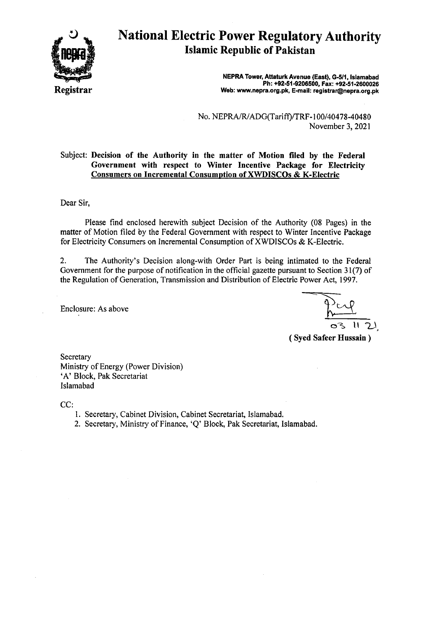

# National Electric Power Regulatory Authority **Islamic Republic of Pakistan**

**NEPRA Tower, Attaturk Avenue (East), G-5/1, Islamabad Ph: +92-51-9206500, Fax: +92-51-2600026 Web: www.nepra.org.pk, E-mail: registrar@nepra.org.pk** 

No. NEPRA/RIADG(Tariff)/TRF- 100/40478-40480 November 3, 2021

#### Subject: **Decision of the Authority in the matter of Motion filed by the Federal Government with respect to Winter Incentive Package for Electricity Consumers on Incremental Consumption of XWDISCOs & K-Electric**

Dear Sir,

Please find enclosed herewith subject Decision of the Authority (08 Pages) in the matter of Motion filed by the Federal Government with respect to Winter Incentive Package for Electricity Consumers on Incremental Consumption of XWDISCOs & K-Electric.

2. The Authority's Decision along-with Order Part is being intimated to the Federal Government for the purpose of notification in the official gazette pursuant to Section 31(7) of the Regulation of Generation, Transmission and Distribution of Electric Power Act, 1997.

Enclosure: As above

03 II

**(Syed Safeer Hussain)** 

**Secretary** Ministry of Energy (Power Division) 'A' Block, Pak Secretariat Islamabad

CC:

- 1. Secretary, Cabinet Division, Cabinet Secretariat, Islamabad.
- 2. Secretary, Ministry of Finance, 'Q' Block, Pak Secretariat, Islamabad.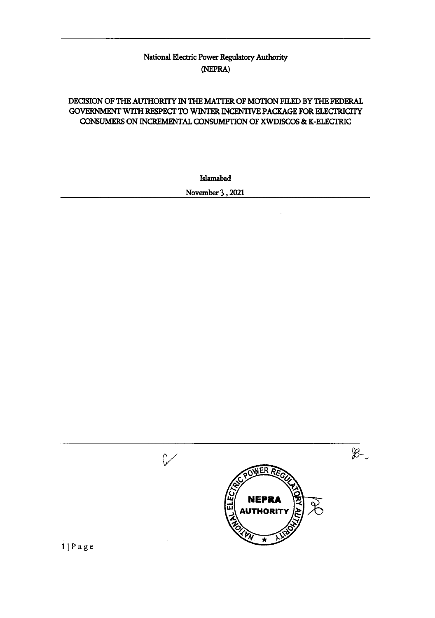# National Electric Power Regulatory Authority (NEPRA)

# DECISION OF THE AUTHORITY IN THE MATTER OF MOTION FILED BY THE FEDERAL GOVERNMENT WITH RESPECT TO WINTER INCENTIVE PACKAGE FOR ELECTRICITY CONSUMERS ON INCREMENTAL CONSUMPTION OF XWDISCOS & K-ELECTRIC

Islamabad

November 3,2021

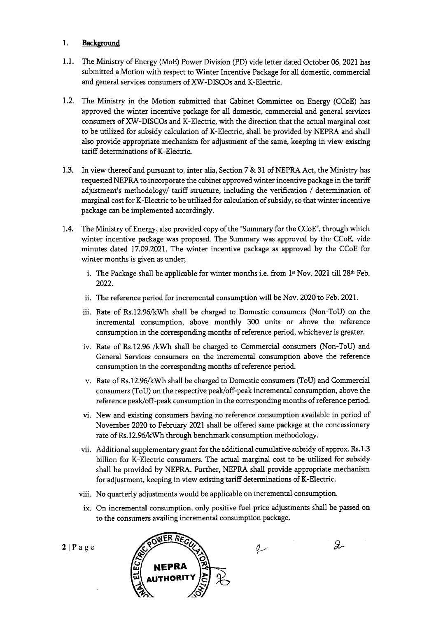#### 1. Background

- 1.1. The Ministry of Energy (MoE) Power Division (PD) vide letter dated October 06, 2021 has submitted a Motion with respect to Winter Incentive Package for all domestic, commercial and general services consumers of XW-DISCOs and K-Electric.
- 1.2. The Ministry in the Motion submitted that Cabinet Committee on Energy (CCoE) has approved the winter incentive package for all domestic, commercial and general services consumers of XW-DISCOs and K-Electric, with the direction that the actual marginal cost to be utilized for subsidy calculation of K-Electric, shall be provided by NEPRA and shall also provide appropriate mechanism for adjustment of the same, keeping in view existing tariff determinations of K-Electric.
- 1.3. In view thereof and pursuant to, inter alia, Section 7 & 31 of NEPRA Act, the Ministry has requested NEPRA to incorporate the cabinet approved winter incentive package in the tariff adjustment's methodology/ tariff structure, including the verification / determination of marginal cost for K-Electric to be utilized for calculation of subsidy, so that winter incentive package can be implemented accordingly.
- 1.4. The Ministry of Energy, also provided copy of the "Summary for the CCoE", through which winter incentive package was proposed. The Summary was approved by the CCoE, vide minutes dated 17.09.2021. The winter incentive package as approved by the CCoE for winter months is given as under;
	- i. The Package shall be applicable for winter months i.e. from 1<sup>st</sup> Nov. 2021 till 28<sup>th</sup> Feb. 2022.
	- ii. The reference period for incremental consumption will be Nov. 2020 to Feb. 2021.
	- iii. Rate of Rs.12.96/kWh shall be charged to Domestic consumers (Non-ToU) on the incremental consumption, above monthly 300 units or above the reference consumption in the corresponding months of reference period, whichever is greater.
	- iv. Rate of Rs.12.96 /kWh shall be charged to Commercial consumers (Non-ToU) and General Services consumers on the incremental consumption above the reference consumption in the corresponding months of reference period.
	- v. Rate of Rs.12.96/kWh shall be charged to Domestic consumers (ToU) and Commercial consumers (ToU) on the respective peak/off-peak incremental consumption, above the reference peak/off-peak consumption in the corresponding months of reference period.
	- vi. New and existing consumers having no reference consumption available in period of November 2020 to February 2021 shall be offered same package at the concessionary rate of Rs.12.96/kWh through benchmark consumption methodology.
	- vii. Additional supplementary grant for the additional cumulative subsidy of approx. Rs. 1.3 billion for K-Electric consumers. The actual marginal cost to be utilized for subsidy shall be provided by NEPRA. Further, NEPRA shall provide appropriate mechanism for adjustment, keeping in view existing tariff determinations of K-Electric.
	- viii. No quarterly adjustments would be applicable on incremental consumption.
	- ix. On incremental consumption, only positive fuel price adjustments shall be passed on to the consumers availing incremental consumption package.

g.

**OWER** <u>ሷ</u> & **NEPRA U**<sub>AUTHORITY</sub> Videa by NEPKA. Further, NEPKA shall pro<br>
Int, keeping in view existing tariff determinat<br> *T* adjustments would be applicable on incremental consumption, only positive fuel price ad<br>
mers availing incremental consumption

 $2|Page$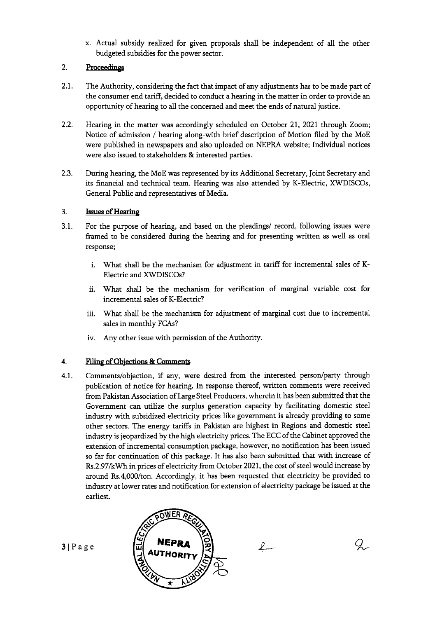x. Actual subsidy realized for given proposals shall be independent of all the other budgeted subsidies for the power sector.

# 2. Proceedings

- 2.1. The Authority, considering the fact that impact of any adjustments has to be made part of the consumer end tariff, decided to conduct a hearing in the matter in order to provide an opportunity of hearing to all the concerned and meet the ends of natural justice.
- 2.2. Hearing in the matter was accordingly scheduled on October 21, 2021 through Zoom; Notice of admission / hearing along-with brief description of Motion ified by the MoE were published in newspapers and also uploaded on NEPRA website; Individual notices were also issued to stakeholders & interested parties.
- 2.3. During hearing, the MoE was represented by its Additional Secretary, Joint Secretary and its financial and technical team. Hearing was also attended by K-Electric, XWDISCOs, General Public and representatives of Media.

#### 3. Issues of Hearing

- 3.1. For the purpose of hearing, and based on the pleadings/ record, following issues were framed to be considered during the hearing and for presenting written as well as oral response;
	- i. What shall be the mechanism for adjustment in tariff for incremental sales of K-Electric and XWDISCOs?
	- ii. V/hat shall be the mechanism for verification of marginal variable Cost for incremental sales of K-Electric?
	- iii. What shall be the mechanism for adjustment of marginal cost due to incremental sales in monthly FCAs?
	- iv. Any other issue with permission of the Authority.

#### 4. Filing of Objections & Comments

4.1. Comments/objection, if any, were desired from the interested person/party through publication of notice for hearing. In response thereof, written comments were received from Pakistan Association of Large Steel Producers, wherein it has been submitted that the Government can utilize the surplus generation capacity by facilitating domestic steel industry with subsidized electricity prices like government is already providing to some other sectors. The energy tariffs in Pakistan are highest in Regions and domestic steel industry is jeopardized by the high electricity prices. The ECC of the Cabinet approved the extension of incremental consumption package, however, no notification has been issued so far for continuation of this package. It has also been submitted that with increase of Rs.2.97/kWh in prices of electricity from October 2021, the cost of steel would increase by around Rs.4,000/ton. Accordingly, it has been requested that electricity be provided to industry at lower rates and notification for extension of electricity package be issued at the earliest.

 $\n *L*$ 

 $\mathcal{Q}_{\mathcal{C}}$ 



 $3 | P a g e$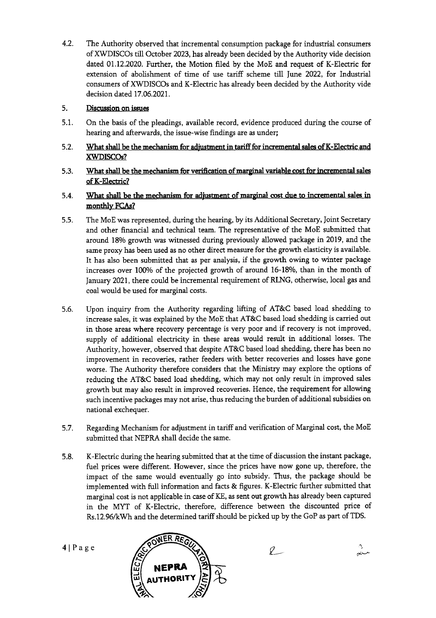4.2. The Authority observed that incremental consumption package for industrial consumers of XWDISCOs till October 2023, has already been decided by the Authority vide decision dated 01.12.2020. Further, the Motion filed by the MoE and request of K-Electric for extension of abolishment of time of use tariff scheme till June 2022, for Industrial consumers of XWDISCOs and K-Electric has already been decided by the Authority vide decision dated 17.06.2021.

# 5. Discussion on issues

- 5.1. On the basis of the pleadings, available record, evidence produced during the course of hearing and afterwards, the issue-wise findings are as under;
- 5.2. What shall be the mechanism for adjustment in tariff for incremental sales of K-Electric and **XWDISCOs?**
- 5.3. What shall be the mechanism for verification of marginal variable cost for incremental sales of K-Electric?
- 5.4. What shall be the mechanism for adjustment of marginal cost due to incremental sales in monthly FCAs?
- 5.5. The MoE was represented, during the hearing, by its Additional Secretary, Joint Secretary and other financial and technical team. The representative of the MoE submitted that around 18% growth was witnessed during previously allowed package in 2019, and the same proxy has been used as no other direct measure for the growth elasticity is available. It has also been submitted that as per analysis, if the growth owing to winter package increases over 100% of the projected growth of around 16-18%, than in the month of January 2021, there could be incremental requirement of RLNG, otherwise, local gas and coal would be used for marginal costs.
- 5.6. Upon inquiry from the Authority regarding lifting of AT&C based load shedding to increase sales, it was explained by the MoE that AT&C based load shedding is carried out in those areas where recovery percentage is very poor and if recovery is not improved, supply of additional electricity in these areas would result in additional losses. The Authority, however, observed that despite AT&C based load shedding, there has been no improvement in recoveries, rather feeders with better recoveries and losses have gone worse. The Authority therefore considers that the Ministry may explore the options of reducing the AT&C based load shedding, which may not only result in improved sales growth but may also result in improved recoveries. Hence, the requirement for allowing such incentive packages may not arise, thus reducing the burden of additional subsidies on national exchequer.
- 5.7. Regarding Mechanism for adjustment in tariff and verification of Marginal cost, the MoE submitted that NEPRA shall decide the same.
- 5.8. K-Electric during the hearing submitted that at the time of discussion the instant package, fuel prices were different. However, since the prices have now gone up, therefore, the impact of the same would eventually go into subsidy. Thus, the package should be implemented with full information and facts & figures. K-Electric further submitted that marginal cost is not applicable in case of KE, as sent out growth has already been captured in the MYT of K-Electric, therefore, difference between the discounted price of Rs.12.96/kWh and the determined tariff should be picked up by the GoP as part of TDS.

 $\ell$ 

4IPage



Ą. سند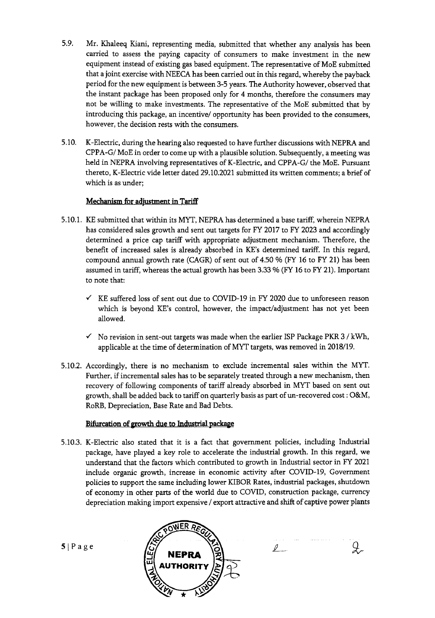- 5.9. Mr. Khaleeq Kiani, representing media, submitted that whether any analysis has been carried to assess the paying capacity of consumers to make investment in the new equipment instead of existing gas based equipment. The representative of MoE submitted that a joint exercise with NEECA has been carried out in this regard, whereby the payback period for the new equipment is between 3-5 years. The Authority however, observed that the instant package has been proposed only for 4 months, therefore the consumers may not be willing to make investments. The representative of the MoE submitted that by introducing this package, an incentive/ opportunity has been provided to the consumers, however, the decision rests with the consumers.
- 5.10. K-Electric, during the hearing also requested to have further discussions with NEPRA and CPPA-G/ MoE in order to come up with a plausible solution. Subsequently, a meeting was held in NEPRA involving representatives of K-Electric, and CPPA-G/ the MoE. Pursuant thereto, K-Electric vide letter dated 29.10.2021 submitted its written comments; a brief of which is as under;

#### Mechanism for adjustment in Tariff

- 5.10.1. KE submitted that within its MYT, NEPRA has determined a base tariff, wherein NEPRA has considered sales growth and sent out targets for FY 2017 to FY 2023 and accordingly determined a price cap tariff with appropriate adjustment mechanism. Therefore, the benefit of increased sales is already absorbed in KE's determined tariff. In this regard, compound annual growth rate (CAGR) of sent out of 4.50 % (FY 16 to FY 21) has been assumed in tariff, whereas the actual growth has been 3.33% (FY 16 to FY21). Important to note that:
	- $\checkmark$  KE suffered loss of sent out due to COVID-19 in FY 2020 due to unforeseen reason which is beyond KE's control, however, the impact/adjustment has not yet been allowed.
	- $\checkmark$  No revision in sent-out targets was made when the earlier ISP Package PKR 3/kWh, applicable at the time of determination of MYT targets, was removed in 2018/19.
- 5.10.2. Accordingly, there is no mechanism to exclude incremental sales within the MYF. Further, if incremental sales has to be separately treated through a new mechanism, then recovery of following components of tariff already absorbed in MYF based on sent out growth, shall be added back to tariff on quarterly basis as part of un-recovered cost : O&M, RoRB, Depreciation, Base Rate and Bad Debts.

#### Bifurcation of growth due to Industrial package

5.10.3. K-Electric also stated that it is a fact that government policies, including Industrial package, have played a key role to accelerate the industrial growth. In this regard, we understand that the factors which contributed to growth in Industrial sector in FY 2021 include organic growth, increase in economic activity after COVID-19, Government policies to support the same including lower KIBOR Rates, industrial packages, shutdown of economy in other parts of the world due to COVID, construction package, currency depreciation making import expensive / export attractive and shift of captive power plants

 $\mathcal{L}$ 

Q.



 $5|Page$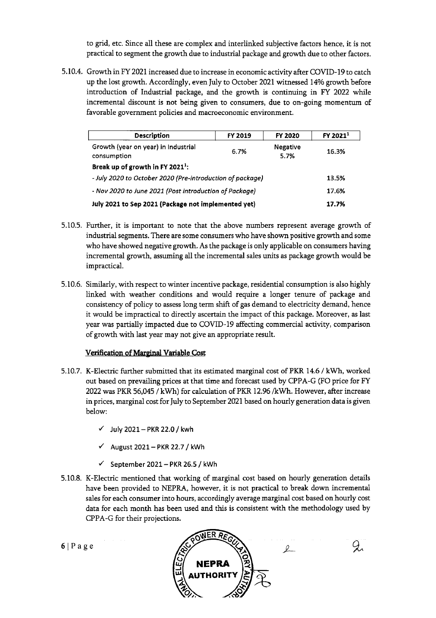to grid, etc. Since all these are complex and interlinked subjective factors hence, it is not practical to segment the growth due to industrial package and growth due to other factors.

5.10.4. Growth in FY 2021 increased due to increase in economic activity after COVID-19 to catch up the lost growth. Accordingly, even July to October 2021 witnessed 14% growth before introduction of Industrial package, and the growth is continuing in FY 2022 while incremental discount is not being given to consumers, due to on-going momentum of favorable government policies and macroeconomic environment.

| <b>Description</b>                                        | FY 2019 | FY 2020          | FY 2021 <sup>1</sup> |
|-----------------------------------------------------------|---------|------------------|----------------------|
| Growth (year on year) in Industrial<br>consumption        | 6.7%    | Negative<br>5.7% | 16.3%                |
| Break up of growth in FY 2021 <sup>1</sup> :              |         |                  |                      |
| - July 2020 to October 2020 (Pre-introduction of package) |         |                  | 13.5%                |
| - Nov 2020 to June 2021 (Post introduction of Package)    |         |                  | 17.6%                |
| July 2021 to Sep 2021 (Package not implemented yet)       |         |                  | 17.7%                |

- 5.10.5. Further, it is important to note that the above numbers represent average growth of industrial segments. There are some consumers who have shown positive growth and some who have showed negative growth. As the package is only applicable on consumers having incremental growth, assuming all the incremental sales units as package growth would be impractical.
- 5.10.6. Similarly, with respect to winter incentive package, residential consumption is also highly linked with weather conditions and would require a longer tenure of package and consistency of policy to assess long term shift of gas demand to electricity demand, hence it would be impractical to directly ascertain the impact of this package. Moreover, as last year was partially impacted due to COVID-19 affecting commercial activity, comparison of growth with last year may not give an appropriate result.

#### Verification of Marginal Variable Cost

- 5.10.7. K-Electric further submitted that its estimated marginal cost of PKR 14.6 / kWh, worked out based on prevailing prices at that time and forecast used by CPPA-G (FO price for FY 2022 was PKR 56,045 / kWh) for calculation of PKR 12.96 /kWh, However, after increase in prices, marginal cost for July to September 2021 based on hourly generation data is given below:
	- v' July 2021— PKR 22.0 / kwh
	- '7 August **2021— PKR** 22.7 / kWh
	- **'7** September 2021— PKR 26.5 / kwh
- 5.10.8. K-Electric mentioned that working of marginal cost based on hourly generation details have been provided to NEPRA, however, it is not practical to break down incremental sales for each consumer into hours, accordingly average marginal cost based on hourly cost data for each month has been used and this is consistent with the methodology used by CPPA-G for their projections.



Ž,

 $6|Page$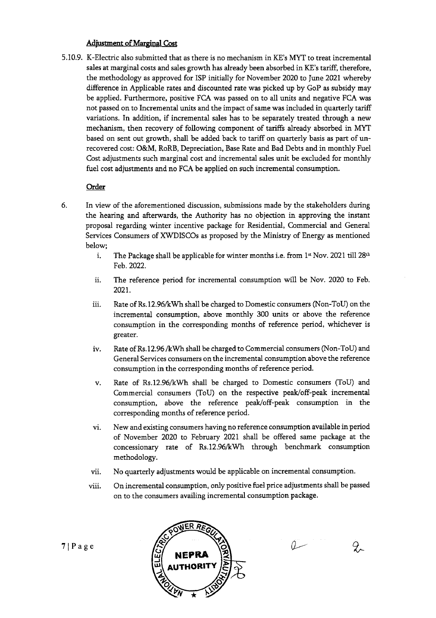#### Adjustment of Marginal Cost

5.10.9. K-Electric also submitted that as there is no mechanism in KE's MYT to treat incremental sales at marginal costs and sales growth has already been absorbed in KE's tariff, therefore, the methodology as approved for ISP initially for November 2020 to June 2021 whereby difference in Applicable rates and discounted rate was picked up by GoP as subsidy may be applied. Furthermore, positive FCA was passed on to all units and negative FCA was not passed on to Incremental units and the impact of same was included in quarterly tariff variations. In addition, if incremental sales has to be separately treated through a new mechanism, then recovery of following component of tariffs already absorbed in MYT based on sent out growth, shall be added back to tariff on quarterly basis as part of Unrecovered cost: O&M, RoRB, Depreciation, Base Rate and Bad Debts and in monthly Fuel Cost adjustments such marginal cost and incremental sales unit be excluded for monthly fuel cost adjustments and no FCA be applied on such incremental consumption.

### **Order**

- 6. In view of the aforementioned discussion, submissions made by the stakeholders during the hearing and afterwards, the Authority has no objection in approving the instant proposal regarding winter incentive package for Residential, Commercial and General Services Consumers of XWDISCOs as proposed by the Ministry of Energy as mentioned below;
	- i. The Package shall be applicable for winter months i.e. from  $1<sup>st</sup>$  Nov. 2021 till 28<sup>th</sup> Feb. 2022.
	- ii. The reference period for incremental consumption will be Nov. 2020 to Feb. 2021.
	- iii. Rate of Rs.12.96/kWh shall be charged to Domestic consumers (Non-ToU) on the incremental consumption, above monthly 300 units or above the reference consumption in the corresponding months of reference period, whichever is greater.
	- iv. Rate of Rs.12.96/kWh shall be charged to Commercial consumers (Non-ToU) and General Services consumers on the incremental consumption above the reference consumption in the corresponding months of reference period.
	- v. Rate of Rs.12.96/kWh shall be charged to Domestic consumers (ToU) and Commercial consumers (ToU) on the respective peak/off-peak incremental consumption, above the reference peak/off-peak consumption in the corresponding months of reference period.
	- vi. New and existing consumers having no reference consumption available in period of November 2020 to February 2021 shall be offered same package at the concessionary rate of Rs.12.96/kWh through benchmark consumption methodology.
	- vii. No quarterly adjustments would be applicable on incremental consumption.
	- viii. On incremental consumption, only positive fuel price adjustments shall be passed on to the consumers availing incremental consumption package.



 $2$ 

سە()

 $7$ | Page